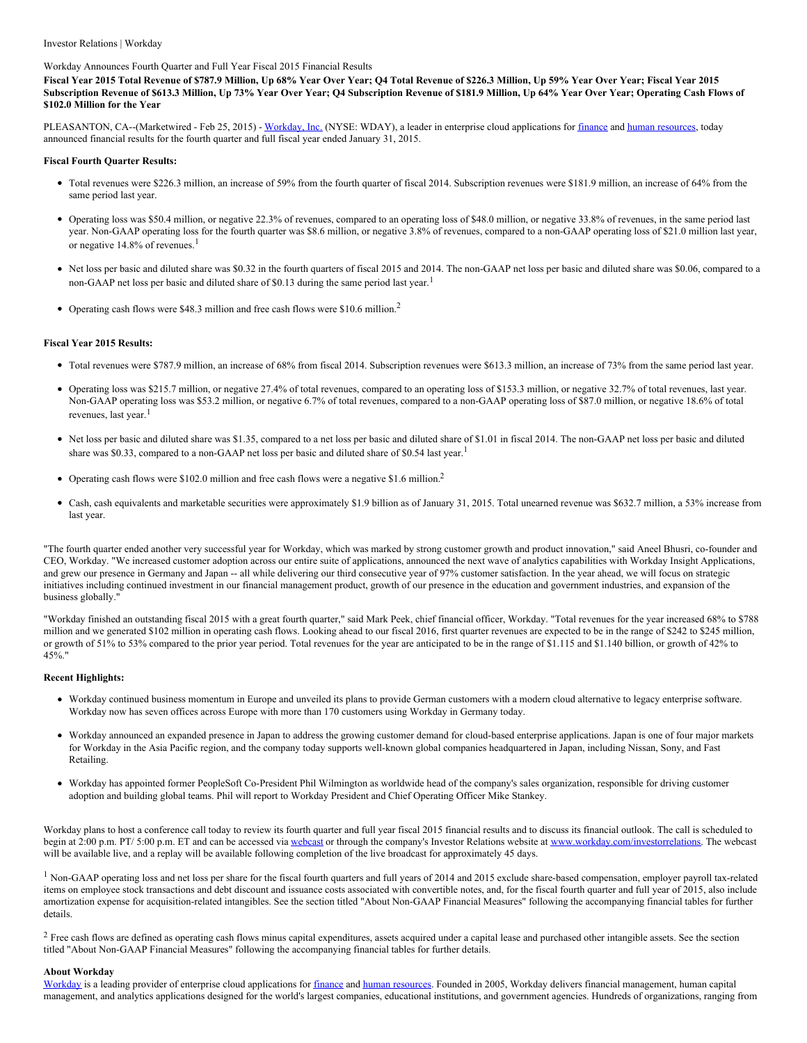#### Investor Relations | Workday

### Workday Announces Fourth Quarter and Full Year Fiscal 2015 Financial Results

Fiscal Year 2015 Total Revenue of \$787.9 Million, Up 68% Year Over Year; Q4 Total Revenue of \$226.3 Million, Up 59% Year Over Year; Fiscal Year 2015 Subscription Revenue of \$613.3 Million, Up 73% Year Over Year; Q4 Subscription Revenue of \$181.9 Million, Up 64% Year Over Year; Operating Cash Flows of **\$102.0 Million for the Year**

PLEASANTON, CA--(Marketwired - Feb 25, 2015) - [Workday,](http://www.workday.com/) Inc. (NYSE: WDAY), a leader in enterprise cloud applications for [finance](http://www.workday.com/applications/financial_management.php) and human [resources](http://www.workday.com/applications/human_capital_management.php), today announced financial results for the fourth quarter and full fiscal year ended January 31, 2015.

#### **Fiscal Fourth Quarter Results:**

- Total revenues were \$226.3 million, an increase of 59% from the fourth quarter of fiscal 2014. Subscription revenues were \$181.9 million, an increase of 64% from the same period last year.
- Operating loss was \$50.4 million, or negative 22.3% of revenues, compared to an operating loss of \$48.0 million, or negative 33.8% of revenues, in the same period last year. Non-GAAP operating loss for the fourth quarter was \$8.6 million, or negative 3.8% of revenues, compared to a non-GAAP operating loss of \$21.0 million last year, or negative 14.8% of revenues.<sup>1</sup>
- Net loss per basic and diluted share was \$0.32 in the fourth quarters of fiscal 2015 and 2014. The non-GAAP net loss per basic and diluted share was \$0.06, compared to a non-GAAP net loss per basic and diluted share of \$0.13 during the same period last year.<sup>1</sup>
- Operating cash flows were \$48.3 million and free cash flows were \$10.6 million.<sup>2</sup>

### **Fiscal Year 2015 Results:**

- Total revenues were \$787.9 million, an increase of 68% from fiscal 2014. Subscription revenues were \$613.3 million, an increase of 73% from the same period last year.
- Operating loss was \$215.7 million, or negative 27.4% of total revenues, compared to an operating loss of \$153.3 million, or negative 32.7% of total revenues, last year. Non-GAAP operating loss was \$53.2 million, or negative 6.7% of total revenues, compared to a non-GAAP operating loss of \$87.0 million, or negative 18.6% of total revenues, last year.<sup>1</sup>
- Net loss per basic and diluted share was \$1.35, compared to a net loss per basic and diluted share of \$1.01 in fiscal 2014. The non-GAAP net loss per basic and diluted share was \$0.33, compared to a non-GAAP net loss per basic and diluted share of \$0.54 last year.<sup>1</sup>
- Operating cash flows were \$102.0 million and free cash flows were a negative \$1.6 million.<sup>2</sup>
- Cash, cash equivalents and marketable securities were approximately \$1.9 billion as of January 31, 2015. Total unearned revenue was \$632.7 million, a 53% increase from last year.

"The fourth quarter ended another very successful year for Workday, which was marked by strong customer growth and product innovation," said Aneel Bhusri, co-founder and CEO, Workday. "We increased customer adoption across our entire suite of applications, announced the next wave of analytics capabilities with Workday Insight Applications, and grew our presence in Germany and Japan -- all while delivering our third consecutive year of 97% customer satisfaction. In the year ahead, we will focus on strategic initiatives including continued investment in our financial management product, growth of our presence in the education and government industries, and expansion of the business globally."

"Workday finished an outstanding fiscal 2015 with a great fourth quarter," said Mark Peek, chief financial officer, Workday. "Total revenues for the year increased 68% to \$788 million and we generated \$102 million in operating cash flows. Looking ahead to our fiscal 2016, first quarter revenues are expected to be in the range of \$242 to \$245 million, or growth of 51% to 53% compared to the prior year period. Total revenues for the year are anticipated to be in the range of \$1.115 and \$1.140 billion, or growth of 42% to 45%."

#### **Recent Highlights:**

- Workday continued business momentum in Europe and unveiled its plans to provide German customers with a modern cloud alternative to legacy enterprise software. Workday now has seven offices across Europe with more than 170 customers using Workday in Germany today.
- Workday announced an expanded presence in Japan to address the growing customer demand for cloud-based enterprise applications. Japan is one of four major markets for Workday in the Asia Pacific region, and the company today supports well-known global companies headquartered in Japan, including Nissan, Sony, and Fast Retailing.
- Workday has appointed former PeopleSoft Co-President Phil Wilmington as worldwide head of the company's sales organization, responsible for driving customer adoption and building global teams. Phil will report to Workday President and Chief Operating Officer Mike Stankey.

Workday plans to host a conference call today to review its fourth quarter and full year fiscal 2015 financial results and to discuss its financial outlook. The call is scheduled to begin at 2:00 p.m. PT/ 5:00 p.m. ET and can be accessed via [webcast](https://edge.media-server.com/m/p/qjnon7ej/lan/en) or through the company's Investor Relations website at [www.workday.com/investorrelations](http://www.workday.com/investorrelations). The webcast will be available live, and a replay will be available following completion of the live broadcast for approximately 45 days.

<sup>1</sup> Non-GAAP operating loss and net loss per share for the fiscal fourth quarters and full years of 2014 and 2015 exclude share-based compensation, employer payroll tax-related items on employee stock transactions and debt discount and issuance costs associated with convertible notes, and, for the fiscal fourth quarter and full year of 2015, also include amortization expense for acquisition-related intangibles. See the section titled "About Non-GAAP Financial Measures" following the accompanying financial tables for further details.

 $2$  Free cash flows are defined as operating cash flows minus capital expenditures, assets acquired under a capital lease and purchased other intangible assets. See the section titled "About Non-GAAP Financial Measures" following the accompanying financial tables for further details.

#### **About Workday**

[Workday](http://www.workday.com/) is a leading provider of enterprise cloud applications for [finance](http://www.workday.com/applications/financial_management.php) and human [resources](http://www.workday.com/applications/human_capital_management.php). Founded in 2005, Workday delivers financial management, human capital management, and analytics applications designed for the world's largest companies, educational institutions, and government agencies. Hundreds of organizations, ranging from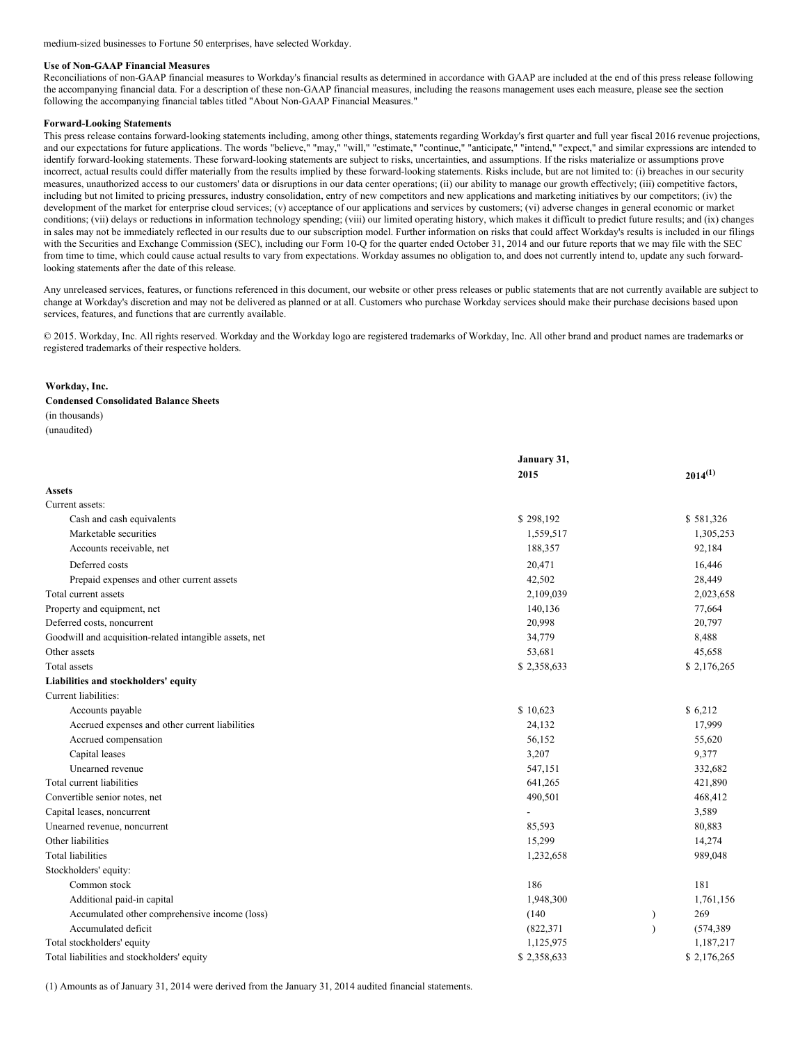medium-sized businesses to Fortune 50 enterprises, have selected Workday.

### **Use of Non-GAAP Financial Measures**

Reconciliations of non-GAAP financial measures to Workday's financial results as determined in accordance with GAAP are included at the end of this press release following the accompanying financial data. For a description of these non-GAAP financial measures, including the reasons management uses each measure, please see the section following the accompanying financial tables titled "About Non-GAAP Financial Measures."

#### **Forward-Looking Statements**

This press release contains forward-looking statements including, among other things, statements regarding Workday's first quarter and full year fiscal 2016 revenue projections, and our expectations for future applications. The words "believe," "may," "will," "estimate," "continue," "anticipate," "intend," "expect," and similar expressions are intended to identify forward-looking statements. These forward-looking statements are subject to risks, uncertainties, and assumptions. If the risks materialize or assumptions prove incorrect, actual results could differ materially from the results implied by these forward-looking statements. Risks include, but are not limited to: (i) breaches in our security measures, unauthorized access to our customers' data or disruptions in our data center operations; (ii) our ability to manage our growth effectively; (iii) competitive factors, including but not limited to pricing pressures, industry consolidation, entry of new competitors and new applications and marketing initiatives by our competitors; (iv) the development of the market for enterprise cloud services; (v) acceptance of our applications and services by customers; (vi) adverse changes in general economic or market conditions; (vii) delays or reductions in information technology spending; (viii) our limited operating history, which makes it difficult to predict future results; and (ix) changes in sales may not be immediately reflected in our results due to our subscription model. Further information on risks that could affect Workday's results is included in our filings with the Securities and Exchange Commission (SEC), including our Form 10-Q for the quarter ended October 31, 2014 and our future reports that we may file with the SEC from time to time, which could cause actual results to vary from expectations. Workday assumes no obligation to, and does not currently intend to, update any such forwardlooking statements after the date of this release.

Any unreleased services, features, or functions referenced in this document, our website or other press releases or public statements that are not currently available are subject to change at Workday's discretion and may not be delivered as planned or at all. Customers who purchase Workday services should make their purchase decisions based upon services, features, and functions that are currently available.

© 2015. Workday, Inc. All rights reserved. Workday and the Workday logo are registered trademarks of Workday, Inc. All other brand and product names are trademarks or registered trademarks of their respective holders.

#### **Workday, Inc.**

### **Condensed Consolidated Balance Sheets**

(in thousands)

| (unaudited) |  |
|-------------|--|
|-------------|--|

|                                                         | January 31, |              |
|---------------------------------------------------------|-------------|--------------|
|                                                         | 2015        | $2014^{(1)}$ |
| <b>Assets</b>                                           |             |              |
| Current assets:                                         |             |              |
| Cash and cash equivalents                               | \$298,192   | \$581,326    |
| Marketable securities                                   | 1,559,517   | 1,305,253    |
| Accounts receivable, net                                | 188,357     | 92,184       |
| Deferred costs                                          | 20,471      | 16,446       |
| Prepaid expenses and other current assets               | 42,502      | 28,449       |
| Total current assets                                    | 2,109,039   | 2,023,658    |
| Property and equipment, net                             | 140,136     | 77,664       |
| Deferred costs, noncurrent                              | 20,998      | 20,797       |
| Goodwill and acquisition-related intangible assets, net | 34,779      | 8,488        |
| Other assets                                            | 53,681      | 45,658       |
| <b>Total</b> assets                                     | \$2,358,633 | \$2,176,265  |
| Liabilities and stockholders' equity                    |             |              |
| Current liabilities:                                    |             |              |
| Accounts payable                                        | \$10,623    | \$6,212      |
| Accrued expenses and other current liabilities          | 24,132      | 17,999       |
| Accrued compensation                                    | 56,152      | 55,620       |
| Capital leases                                          | 3,207       | 9,377        |
| Unearned revenue                                        | 547,151     | 332,682      |
| Total current liabilities                               | 641,265     | 421,890      |
| Convertible senior notes, net                           | 490,501     | 468,412      |
| Capital leases, noncurrent                              |             | 3,589        |
| Unearned revenue, noncurrent                            | 85,593      | 80,883       |
| Other liabilities                                       | 15,299      | 14,274       |
| <b>Total liabilities</b>                                | 1,232,658   | 989,048      |
| Stockholders' equity:                                   |             |              |
| Common stock                                            | 186         | 181          |
| Additional paid-in capital                              | 1,948,300   | 1,761,156    |
| Accumulated other comprehensive income (loss)           | (140)       | 269          |
| Accumulated deficit                                     | (822, 371)  | (574, 389)   |
| Total stockholders' equity                              | 1,125,975   | 1,187,217    |
| Total liabilities and stockholders' equity              | \$2,358,633 | \$2,176,265  |

(1) Amounts as of January 31, 2014 were derived from the January 31, 2014 audited financial statements.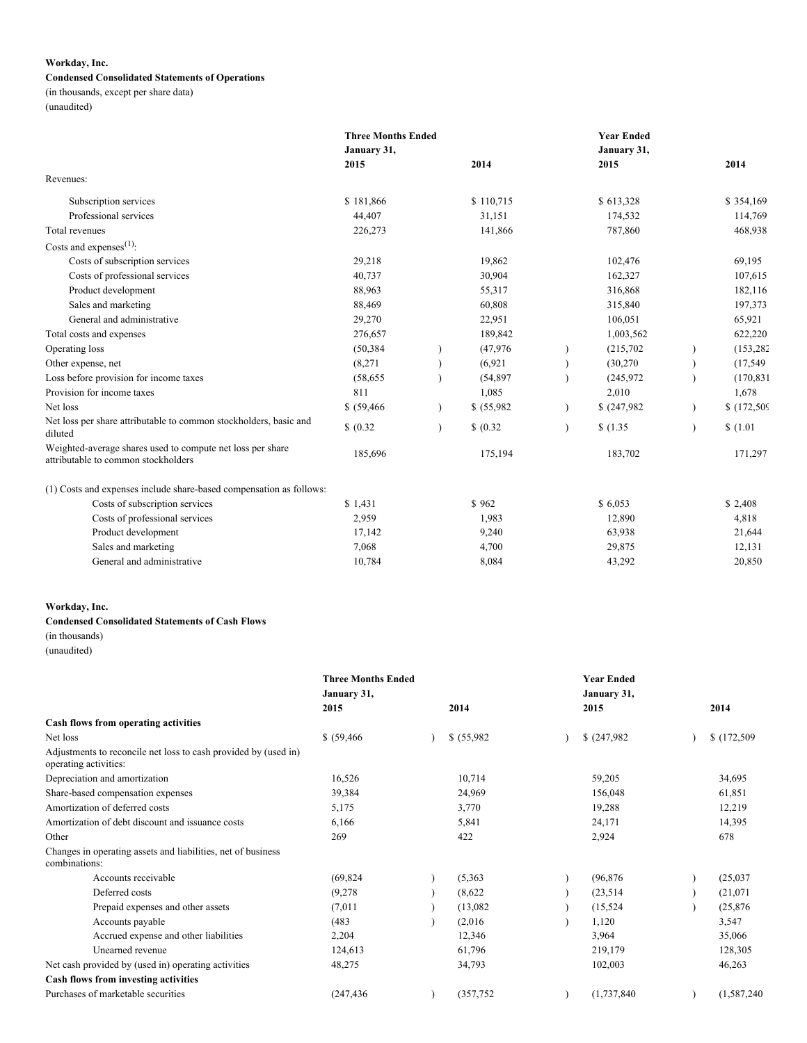## **Workday, Inc.**

## **Condensed Consolidated Statements of Operations**

(in thousands, except per share data) (unaudited)

|                                                                                                   | <b>Three Months Ended</b> |  |             | <b>Year Ended</b> |             |
|---------------------------------------------------------------------------------------------------|---------------------------|--|-------------|-------------------|-------------|
|                                                                                                   | January 31,               |  |             | January 31,       |             |
|                                                                                                   | 2015                      |  | 2014        | 2015              | 2014        |
| Revenues:                                                                                         |                           |  |             |                   |             |
| Subscription services                                                                             | \$181,866                 |  | \$110,715   | \$613,328         | \$354,169   |
| Professional services                                                                             | 44,407                    |  | 31,151      | 174,532           | 114,769     |
| Total revenues                                                                                    | 226,273                   |  | 141,866     | 787,860           | 468,938     |
| Costs and expenses <sup>(1)</sup> :                                                               |                           |  |             |                   |             |
| Costs of subscription services                                                                    | 29,218                    |  | 19,862      | 102,476           | 69,195      |
| Costs of professional services                                                                    | 40,737                    |  | 30,904      | 162,327           | 107,615     |
| Product development                                                                               | 88,963                    |  | 55,317      | 316,868           | 182,116     |
| Sales and marketing                                                                               | 88,469                    |  | 60,808      | 315,840           | 197,373     |
| General and administrative                                                                        | 29,270                    |  | 22,951      | 106,051           | 65,921      |
| Total costs and expenses                                                                          | 276,657                   |  | 189,842     | 1,003,562         | 622,220     |
| Operating loss                                                                                    | (50, 384)                 |  | (47, 976)   | (215,702)         | (153, 282)  |
| Other expense, net                                                                                | (8,271)                   |  | (6.921)     | (30,270)          | (17, 549)   |
| Loss before provision for income taxes                                                            | (58, 655)                 |  | (54, 897)   | (245, 972)        | (170, 831)  |
| Provision for income taxes                                                                        | 811                       |  | 1,085       | 2,010             | 1,678       |
| Net loss                                                                                          | \$ (59,466)               |  | \$ (55,982) | \$(247,982)       | \$(172,509) |
| Net loss per share attributable to common stockholders, basic and<br>diluted                      | \$ (0.32)                 |  | \$ (0.32)   | \$(1.35)          | \$(1.01)    |
| Weighted-average shares used to compute net loss per share<br>attributable to common stockholders | 185,696                   |  | 175,194     | 183,702           | 171,297     |
| (1) Costs and expenses include share-based compensation as follows:                               |                           |  |             |                   |             |
| Costs of subscription services                                                                    | \$1,431                   |  | \$962       | \$6,053           | \$2,408     |
| Costs of professional services                                                                    | 2,959                     |  | 1,983       | 12,890            | 4,818       |
| Product development                                                                               | 17,142                    |  | 9,240       | 63,938            | 21,644      |
| Sales and marketing                                                                               | 7,068                     |  | 4,700       | 29,875            | 12,131      |
| General and administrative                                                                        | 10,784                    |  | 8,084       | 43,292            | 20,850      |

## **Workday, Inc.**

## **Condensed Consolidated Statements of Cash Flows**

(in thousands)

|                                                                                          | <b>Three Months Ended</b> |  |             | <b>Year Ended</b><br>January 31, |             |
|------------------------------------------------------------------------------------------|---------------------------|--|-------------|----------------------------------|-------------|
|                                                                                          | January 31,<br>2015       |  | 2014        | 2015                             | 2014        |
| Cash flows from operating activities                                                     |                           |  |             |                                  |             |
| Net loss                                                                                 | \$ (59, 466)              |  | \$ (55,982) | \$(247,982)                      | \$(172,509) |
| Adjustments to reconcile net loss to cash provided by (used in)<br>operating activities: |                           |  |             |                                  |             |
| Depreciation and amortization                                                            | 16,526                    |  | 10,714      | 59,205                           | 34,695      |
| Share-based compensation expenses                                                        | 39,384                    |  | 24,969      | 156,048                          | 61,851      |
| Amortization of deferred costs                                                           | 5,175                     |  | 3,770       | 19,288                           | 12,219      |
| Amortization of debt discount and issuance costs                                         | 6,166                     |  | 5,841       | 24,171                           | 14,395      |
| Other                                                                                    | 269                       |  | 422         | 2,924                            | 678         |
| Changes in operating assets and liabilities, net of business<br>combinations:            |                           |  |             |                                  |             |
| Accounts receivable                                                                      | (69, 824)                 |  | (5,363)     | (96, 876)                        | (25,037)    |
| Deferred costs                                                                           | (9,278)                   |  | (8,622)     | (23, 514)                        | (21,071)    |
| Prepaid expenses and other assets                                                        | (7,011)                   |  | (13,082)    | (15, 524)                        | (25, 876)   |
| Accounts payable                                                                         | (483)                     |  | (2,016)     | 1,120                            | 3,547       |
| Accrued expense and other liabilities                                                    | 2,204                     |  | 12,346      | 3,964                            | 35,066      |
| Unearned revenue                                                                         | 124,613                   |  | 61,796      | 219,179                          | 128,305     |
| Net cash provided by (used in) operating activities                                      | 48,275                    |  | 34,793      | 102,003                          | 46,263      |
| Cash flows from investing activities                                                     |                           |  |             |                                  |             |
| Purchases of marketable securities                                                       | (247, 436)                |  | (357,752)   | (1,737,840)                      | (1,587,240) |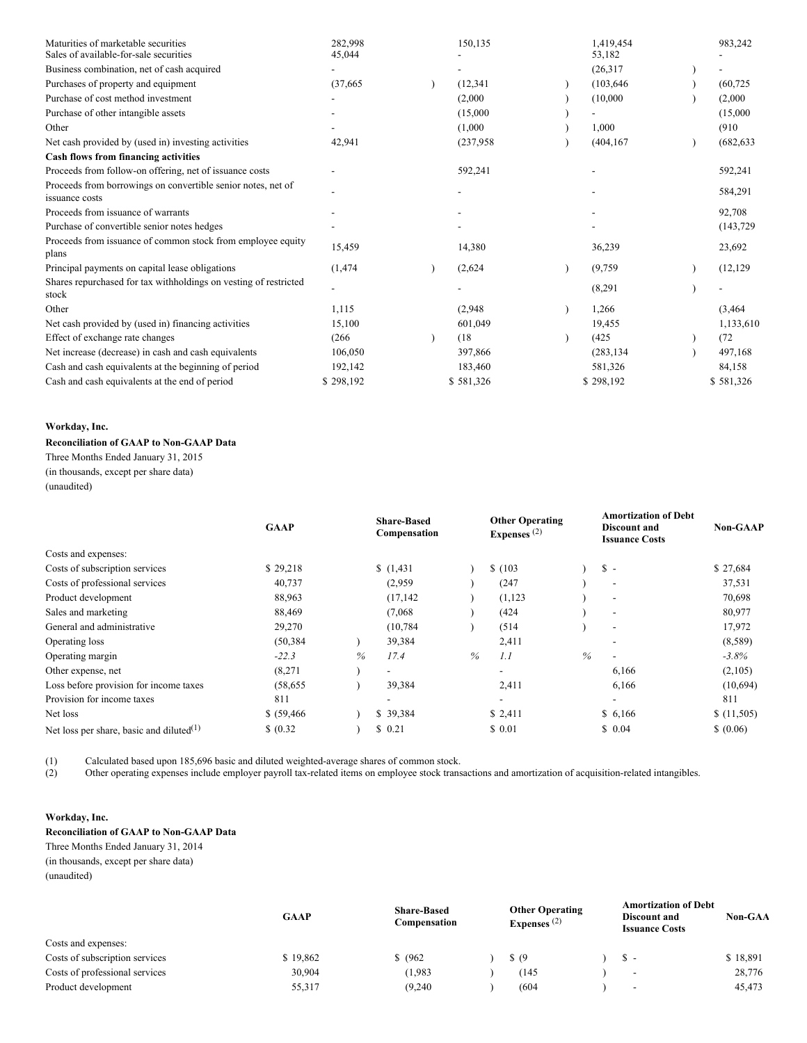| Maturities of marketable securities<br>Sales of available-for-sale securities  | 282,998<br>45,044 | 150,135   | 1.419.454<br>53,182 | 983,242    |
|--------------------------------------------------------------------------------|-------------------|-----------|---------------------|------------|
|                                                                                |                   |           |                     |            |
| Business combination, net of cash acquired                                     |                   |           | (26, 317)           |            |
| Purchases of property and equipment                                            | (37,665)          | (12, 341) | (103, 646)          | (60, 725)  |
| Purchase of cost method investment                                             |                   | (2,000)   | (10,000)            | (2,000)    |
| Purchase of other intangible assets                                            |                   | (15,000)  |                     | (15,000)   |
| Other                                                                          |                   | (1,000)   | 1,000               | (910)      |
| Net cash provided by (used in) investing activities                            | 42,941            | (237,958) | (404, 167)          | (682, 633) |
| Cash flows from financing activities                                           |                   |           |                     |            |
| Proceeds from follow-on offering, net of issuance costs                        |                   | 592,241   |                     | 592,241    |
| Proceeds from borrowings on convertible senior notes, net of<br>issuance costs |                   |           |                     | 584,291    |
| Proceeds from issuance of warrants                                             |                   |           |                     | 92,708     |
| Purchase of convertible senior notes hedges                                    |                   |           |                     | (143, 729) |
| Proceeds from issuance of common stock from employee equity<br>plans           | 15,459            | 14,380    | 36,239              | 23,692     |
| Principal payments on capital lease obligations                                | (1, 474)          | (2,624)   | (9,759)             | (12, 129)  |
| Shares repurchased for tax withholdings on vesting of restricted<br>stock      |                   |           | (8,291)             |            |
| Other                                                                          | 1,115             | (2,948)   | 1,266               | (3, 464)   |
| Net cash provided by (used in) financing activities                            | 15,100            | 601,049   | 19,455              | 1,133,610  |
| Effect of exchange rate changes                                                | (266)             | (18)      | (425)               | (72)       |
| Net increase (decrease) in cash and cash equivalents                           | 106,050           | 397,866   | (283, 134)          | 497,168    |
| Cash and cash equivalents at the beginning of period                           | 192,142           | 183,460   | 581,326             | 84,158     |
| Cash and cash equivalents at the end of period                                 | \$298,192         | \$581,326 | \$298,192           | \$581,326  |

### **Workday, Inc.**

## **Reconciliation of GAAP to Non-GAAP Data**

Three Months Ended January 31, 2015 (in thousands, except per share data) (unaudited)

|                                             | <b>GAAP</b>  |      | <b>Share-Based</b><br>Compensation |      | <b>Other Operating</b><br>Expenses $(2)$ |      | <b>Amortization of Debt</b><br><b>Discount and</b><br><b>Issuance Costs</b> | Non-GAAP   |
|---------------------------------------------|--------------|------|------------------------------------|------|------------------------------------------|------|-----------------------------------------------------------------------------|------------|
| Costs and expenses:                         |              |      |                                    |      |                                          |      |                                                                             |            |
| Costs of subscription services              | \$29,218     |      | \$(1,431)                          |      | \$(103)                                  |      | $\mathbb{S}$ -                                                              | \$27,684   |
| Costs of professional services              | 40,737       |      | (2,959)                            |      | (247)                                    |      | $\overline{\phantom{a}}$                                                    | 37,531     |
| Product development                         | 88,963       |      | (17, 142)                          |      | (1,123)                                  |      |                                                                             | 70,698     |
| Sales and marketing                         | 88,469       |      | (7,068)                            |      | (424)                                    |      | $\overline{\phantom{0}}$                                                    | 80,977     |
| General and administrative                  | 29,270       |      | (10,784)                           |      | (514)                                    |      | $\overline{\phantom{a}}$                                                    | 17,972     |
| Operating loss                              | (50, 384)    |      | 39,384                             |      | 2,411                                    |      |                                                                             | (8,589)    |
| Operating margin                            | $-22.3$      | $\%$ | 17.4                               | $\%$ | 1.1                                      | $\%$ |                                                                             | $-3.8\%$   |
| Other expense, net                          | (8,271)      |      | $\overline{\phantom{a}}$           |      | $\overline{\phantom{a}}$                 |      | 6,166                                                                       | (2,105)    |
| Loss before provision for income taxes      | (58, 655)    |      | 39,384                             |      | 2,411                                    |      | 6,166                                                                       | (10,694)   |
| Provision for income taxes                  | 811          |      | $\overline{\phantom{a}}$           |      | $\overline{\phantom{a}}$                 |      | $\overline{\phantom{a}}$                                                    | 811        |
| Net loss                                    | \$ (59, 466) |      | \$39,384                           |      | \$ 2,411                                 |      | \$6,166                                                                     | \$(11,505) |
| Net loss per share, basic and diluted $(1)$ | \$ (0.32)    |      | \$0.21                             |      | \$ 0.01                                  |      | \$0.04                                                                      | \$ (0.06)  |

(1) Calculated based upon 185,696 basic and diluted weighted-average shares of common stock.

 $(2)$ Other operating expenses include employer payroll tax-related items on employee stock transactions and amortization of acquisition-related intangibles.

## **Workday, Inc.**

### **Reconciliation of GAAP to Non-GAAP Data**

Three Months Ended January 31, 2014

(in thousands, except per share data)

|                                | <b>GAAP</b> | <b>Share-Based</b><br>Compensation | <b>Other Operating</b><br>Expenses $(2)$ | <b>Amortization of Debt</b><br>Discount and<br><b>Issuance Costs</b> | Non-GAA  |
|--------------------------------|-------------|------------------------------------|------------------------------------------|----------------------------------------------------------------------|----------|
| Costs and expenses:            |             |                                    |                                          |                                                                      |          |
| Costs of subscription services | \$19,862    | $$^{(962)}$                        | S (9                                     |                                                                      | \$18,891 |
| Costs of professional services | 30,904      | (1,983)                            | (145                                     |                                                                      | 28,776   |
| Product development            | 55,317      | (9,240)                            | (604                                     | $\overline{\phantom{a}}$                                             | 45,473   |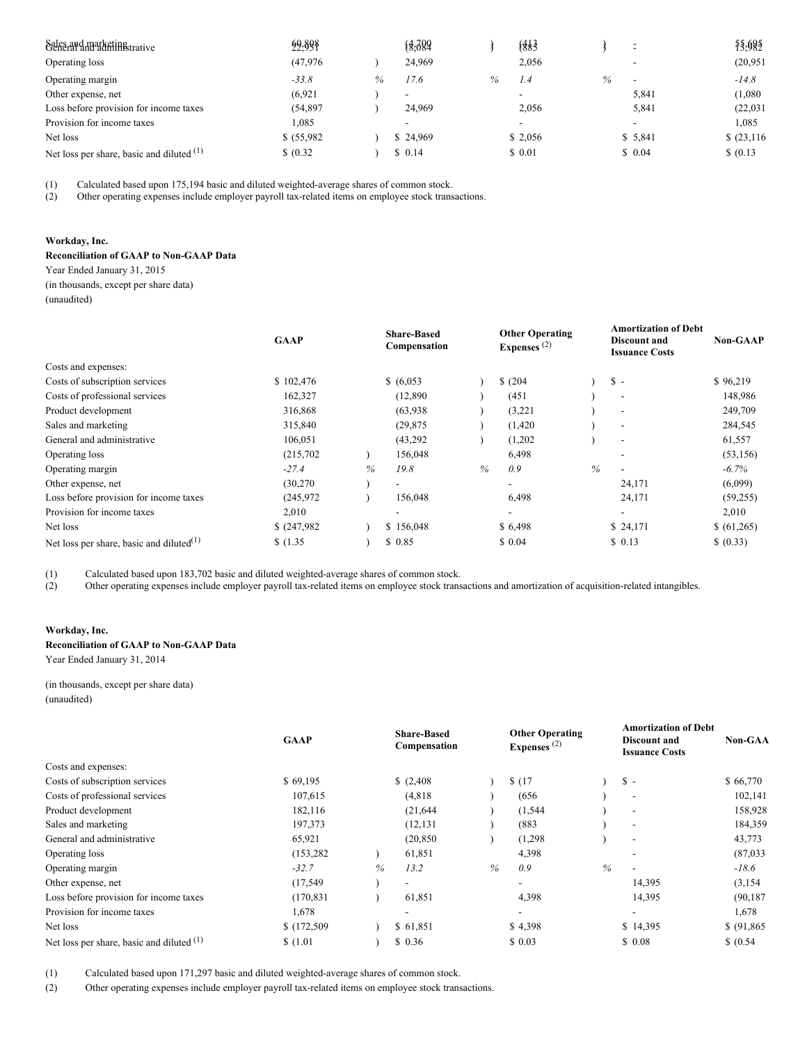| Sales and marketing<br>deneral and administrative | 59,898      |      | (4, 709)                 |      | {§§}    |      | $\overline{\phantom{a}}$ | 55,685     |
|---------------------------------------------------|-------------|------|--------------------------|------|---------|------|--------------------------|------------|
| Operating loss                                    | (47, 976)   |      | 24.969                   |      | 2,056   |      |                          | (20.951)   |
| Operating margin                                  | $-33.8$     | $\%$ | 17.6                     | $\%$ | 1.4     | $\%$ |                          | $-14.8$    |
| Other expense, net                                | (6, 921)    |      | $\overline{\phantom{a}}$ |      |         |      | 5,841                    | (1,080)    |
| Loss before provision for income taxes            | (54, 897)   |      | 24.969                   |      | 2.056   |      | 5,841                    | (22, 031)  |
| Provision for income taxes                        | 1,085       |      | $\overline{\phantom{0}}$ |      |         |      |                          | 1,085      |
| Net loss                                          | \$ (55,982) |      | \$24,969                 |      | \$2.056 |      | \$5,841                  | \$(23,116) |
| Net loss per share, basic and diluted $(1)$       | \$ (0.32)   |      | \$0.14                   |      | \$ 0.01 |      | \$0.04                   | \$ (0.13)  |

(1) Calculated based upon 175,194 basic and diluted weighted-average shares of common stock.

(2) Other operating expenses include employer payroll tax-related items on employee stock transactions.

### **Workday, Inc.**

## **Reconciliation of GAAP to Non-GAAP Data**

Year Ended January 31, 2015 (in thousands, except per share data) (unaudited)

|                                             | <b>GAAP</b> |      | <b>Share-Based</b><br>Compensation |      | <b>Other Operating</b><br>Expenses $(2)$ |      | <b>Amortization of Debt</b><br>Discount and<br><b>Issuance Costs</b> | <b>Non-GAAP</b> |
|---------------------------------------------|-------------|------|------------------------------------|------|------------------------------------------|------|----------------------------------------------------------------------|-----------------|
| Costs and expenses:                         |             |      |                                    |      |                                          |      |                                                                      |                 |
| Costs of subscription services              | \$102,476   |      | \$ (6,053)                         |      | \$(204)                                  |      | $S -$                                                                | \$96,219        |
| Costs of professional services              | 162,327     |      | (12,890)                           |      | (451)                                    |      | $\overline{\phantom{a}}$                                             | 148,986         |
| Product development                         | 316,868     |      | (63, 938)                          |      | (3,221)                                  |      | $\overline{\phantom{a}}$                                             | 249,709         |
| Sales and marketing                         | 315,840     |      | (29, 875)                          |      | (1,420)                                  |      | $\overline{\phantom{a}}$                                             | 284,545         |
| General and administrative                  | 106,051     |      | (43, 292)                          |      | (1,202)                                  |      | $\overline{\phantom{a}}$                                             | 61,557          |
| Operating loss                              | (215,702)   |      | 156,048                            |      | 6,498                                    |      | $\overline{\phantom{a}}$                                             | (53, 156)       |
| Operating margin                            | $-27.4$     | $\%$ | 19.8                               | $\%$ | 0.9                                      | $\%$ | $\overline{\phantom{a}}$                                             | $-6.7\%$        |
| Other expense, net                          | (30, 270)   |      | $\overline{\phantom{a}}$           |      | $\overline{\phantom{a}}$                 |      | 24,171                                                               | (6,099)         |
| Loss before provision for income taxes      | (245, 972)  |      | 156,048                            |      | 6,498                                    |      | 24,171                                                               | (59,255)        |
| Provision for income taxes                  | 2,010       |      | $\overline{\phantom{a}}$           |      | $\overline{\phantom{a}}$                 |      | $\overline{\phantom{a}}$                                             | 2,010           |
| Net loss                                    | \$(247,982) |      | S.<br>156,048                      |      | \$6,498                                  |      | \$24,171                                                             | \$ (61,265)     |
| Net loss per share, basic and diluted $(1)$ | \$(1.35)    |      | \$0.85                             |      | \$0.04                                   |      | \$0.13                                                               | (0.33)          |

(1) Calculated based upon 183,702 basic and diluted weighted-average shares of common stock.

 $\sum_{i=1}^{n}$ Other operating expenses include employer payroll tax-related items on employee stock transactions and amortization of acquisition-related intangibles.

### **Workday, Inc.**

# **Reconciliation of GAAP to Non-GAAP Data**

Year Ended January 31, 2014

(in thousands, except per share data)

| (unaudited) |  |
|-------------|--|
|-------------|--|

|                                             | <b>GAAP</b>  |      | <b>Share-Based</b><br>Compensation |   | <b>Other Operating</b><br>Expenses $(2)$ |      | <b>Amortization of Debt</b><br><b>Discount and</b><br><b>Issuance Costs</b> | Non-GAA     |
|---------------------------------------------|--------------|------|------------------------------------|---|------------------------------------------|------|-----------------------------------------------------------------------------|-------------|
| Costs and expenses:                         |              |      |                                    |   |                                          |      |                                                                             |             |
| Costs of subscription services              | \$69,195     |      | \$(2,408)                          |   | \$(17)                                   |      | $\mathbb{S}$ -                                                              | \$66,770    |
| Costs of professional services              | 107,615      |      | (4,818)                            |   | (656)                                    |      | $\overline{\phantom{a}}$                                                    | 102,141     |
| Product development                         | 182,116      |      | (21, 644)                          |   | (1, 544)                                 |      | $\overline{\phantom{a}}$                                                    | 158,928     |
| Sales and marketing                         | 197,373      |      | (12, 131)                          |   | (883)                                    |      | $\overline{\phantom{a}}$                                                    | 184,359     |
| General and administrative                  | 65,921       |      | (20, 850)                          |   | (1, 298)                                 |      |                                                                             | 43,773      |
| Operating loss                              | (153, 282)   |      | 61,851                             |   | 4,398                                    |      |                                                                             | (87,033)    |
| Operating margin                            | $-32.7$      | $\%$ | 13.2                               | % | 0.9                                      | $\%$ | $\overline{\phantom{a}}$                                                    | $-18.6$     |
| Other expense, net                          | (17, 549)    |      | $\overline{\phantom{a}}$           |   | $\overline{\phantom{a}}$                 |      | 14,395                                                                      | (3, 154)    |
| Loss before provision for income taxes      | (170, 831)   |      | 61,851                             |   | 4,398                                    |      | 14,395                                                                      | (90, 187)   |
| Provision for income taxes                  | 1,678        |      | $\overline{\phantom{a}}$           |   | $\overline{\phantom{a}}$                 |      | $\overline{\phantom{0}}$                                                    | 1,678       |
| Net loss                                    | \$ (172,509) |      | \$61,851                           |   | \$4,398                                  |      | \$14,395                                                                    | \$ (91,865) |
| Net loss per share, basic and diluted $(1)$ | \$(1.01)     |      | \$0.36                             |   | \$0.03                                   |      | \$0.08                                                                      | \$ (0.54)   |

(1) Calculated based upon 171,297 basic and diluted weighted-average shares of common stock.

(2) Other operating expenses include employer payroll tax-related items on employee stock transactions.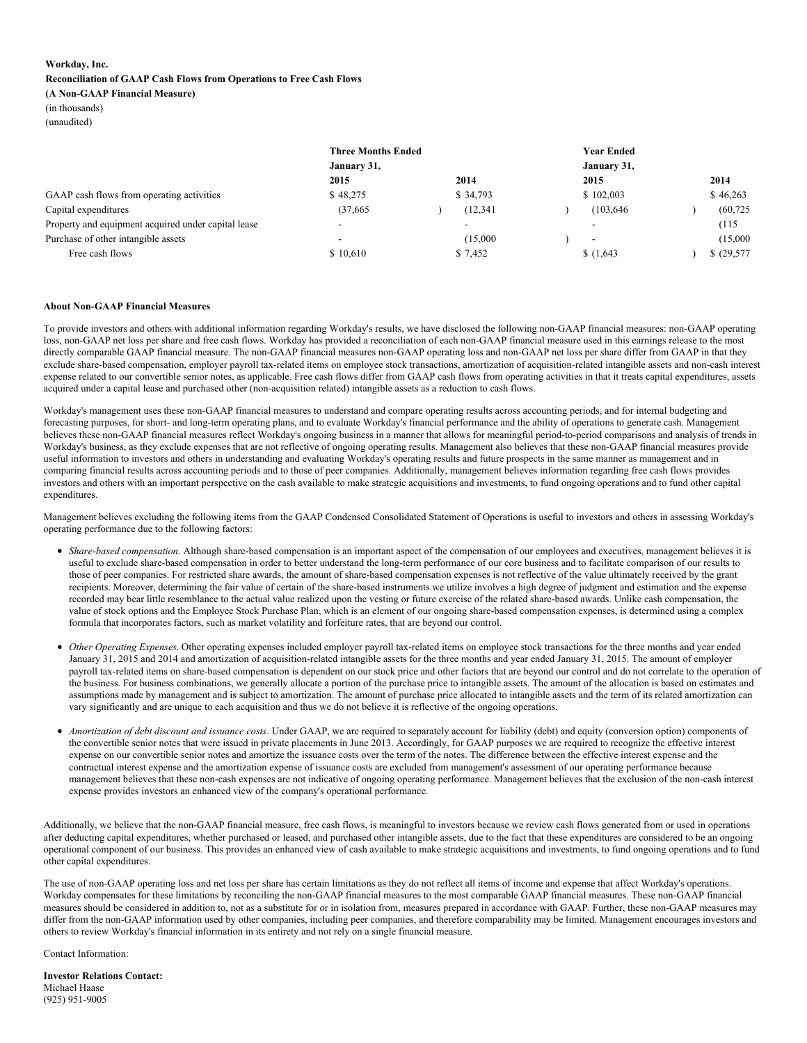# **Workday, Inc. Reconciliation of GAAP Cash Flows from Operations to Free Cash Flows**

### **(A Non-GAAP Financial Measure)**

(in thousands)

(unaudited)

|                                                     | <b>Three Months Ended</b> |                          | <b>Year Ended</b>        |            |
|-----------------------------------------------------|---------------------------|--------------------------|--------------------------|------------|
|                                                     | January 31,               |                          | January 31,              |            |
|                                                     | 2015                      | 2014                     | 2015                     | 2014       |
| GAAP cash flows from operating activities           | \$48,275                  | \$34,793                 | \$102,003                | \$46,263   |
| Capital expenditures                                | (37,665)                  | (12, 341)                | (103, 646)               | (60, 725)  |
| Property and equipment acquired under capital lease |                           | $\overline{\phantom{0}}$ |                          | (115       |
| Purchase of other intangible assets                 | -                         | (15,000)                 | $\overline{\phantom{a}}$ | (15,000)   |
| Free cash flows                                     | \$10,610                  | \$7,452                  | \$(1,643)                | \$(29,577) |

### **About Non-GAAP Financial Measures**

To provide investors and others with additional information regarding Workday's results, we have disclosed the following non-GAAP financial measures: non-GAAP operating loss, non-GAAP net loss per share and free cash flows. Workday has provided a reconciliation of each non-GAAP financial measure used in this earnings release to the most directly comparable GAAP financial measure. The non-GAAP financial measures non-GAAP operating loss and non-GAAP net loss per share differ from GAAP in that they exclude share-based compensation, employer payroll tax-related items on employee stock transactions, amortization of acquisition-related intangible assets and non-cash interest expense related to our convertible senior notes, as applicable. Free cash flows differ from GAAP cash flows from operating activities in that it treats capital expenditures, assets acquired under a capital lease and purchased other (non-acquisition related) intangible assets as a reduction to cash flows.

Workday's management uses these non-GAAP financial measures to understand and compare operating results across accounting periods, and for internal budgeting and forecasting purposes, for short- and long-term operating plans, and to evaluate Workday's financial performance and the ability of operations to generate cash. Management believes these non-GAAP financial measures reflect Workday's ongoing business in a manner that allows for meaningful period-to-period comparisons and analysis of trends in Workday's business, as they exclude expenses that are not reflective of ongoing operating results. Management also believes that these non-GAAP financial measures provide useful information to investors and others in understanding and evaluating Workday's operating results and future prospects in the same manner as management and in comparing financial results across accounting periods and to those of peer companies. Additionally, management believes information regarding free cash flows provides investors and others with an important perspective on the cash available to make strategic acquisitions and investments, to fund ongoing operations and to fund other capital expenditures.

Management believes excluding the following items from the GAAP Condensed Consolidated Statement of Operations is useful to investors and others in assessing Workday's operating performance due to the following factors:

- *Share-based compensation.* Although share-based compensation is an important aspect of the compensation of our employees and executives, management believes it is useful to exclude share-based compensation in order to better understand the long-term performance of our core business and to facilitate comparison of our results to those of peer companies. For restricted share awards, the amount of share-based compensation expenses is not reflective of the value ultimately received by the grant recipients. Moreover, determining the fair value of certain of the share-based instruments we utilize involves a high degree of judgment and estimation and the expense recorded may bear little resemblance to the actual value realized upon the vesting or future exercise of the related share-based awards. Unlike cash compensation, the value of stock options and the Employee Stock Purchase Plan, which is an element of our ongoing share-based compensation expenses, is determined using a complex formula that incorporates factors, such as market volatility and forfeiture rates, that are beyond our control.
- *Other Operating Expenses*. Other operating expenses included employer payroll tax-related items on employee stock transactions for the three months and year ended January 31, 2015 and 2014 and amortization of acquisition-related intangible assets for the three months and year ended January 31, 2015. The amount of employer payroll tax-related items on share-based compensation is dependent on our stock price and other factors that are beyond our control and do not correlate to the operation of the business. For business combinations, we generally allocate a portion of the purchase price to intangible assets. The amount of the allocation is based on estimates and assumptions made by management and is subject to amortization. The amount of purchase price allocated to intangible assets and the term of its related amortization can vary significantly and are unique to each acquisition and thus we do not believe it is reflective of the ongoing operations.
- *Amortization of debt discount and issuance costs*. Under GAAP, we are required to separately account for liability (debt) and equity (conversion option) components of the convertible senior notes that were issued in private placements in June 2013. Accordingly, for GAAP purposes we are required to recognize the effective interest expense on our convertible senior notes and amortize the issuance costs over the term of the notes. The difference between the effective interest expense and the contractual interest expense and the amortization expense of issuance costs are excluded from management's assessment of our operating performance because management believes that these non-cash expenses are not indicative of ongoing operating performance. Management believes that the exclusion of the non-cash interest expense provides investors an enhanced view of the company's operational performance.

Additionally, we believe that the non-GAAP financial measure, free cash flows, is meaningful to investors because we review cash flows generated from or used in operations after deducting capital expenditures, whether purchased or leased, and purchased other intangible assets, due to the fact that these expenditures are considered to be an ongoing operational component of our business. This provides an enhanced view of cash available to make strategic acquisitions and investments, to fund ongoing operations and to fund other capital expenditures.

The use of non-GAAP operating loss and net loss per share has certain limitations as they do not reflect all items of income and expense that affect Workday's operations. Workday compensates for these limitations by reconciling the non-GAAP financial measures to the most comparable GAAP financial measures. These non-GAAP financial measures should be considered in addition to, not as a substitute for or in isolation from, measures prepared in accordance with GAAP. Further, these non-GAAP measures may differ from the non-GAAP information used by other companies, including peer companies, and therefore comparability may be limited. Management encourages investors and others to review Workday's financial information in its entirety and not rely on a single financial measure.

Contact Information:

**Investor Relations Contact:** Michael Haase (925) 951-9005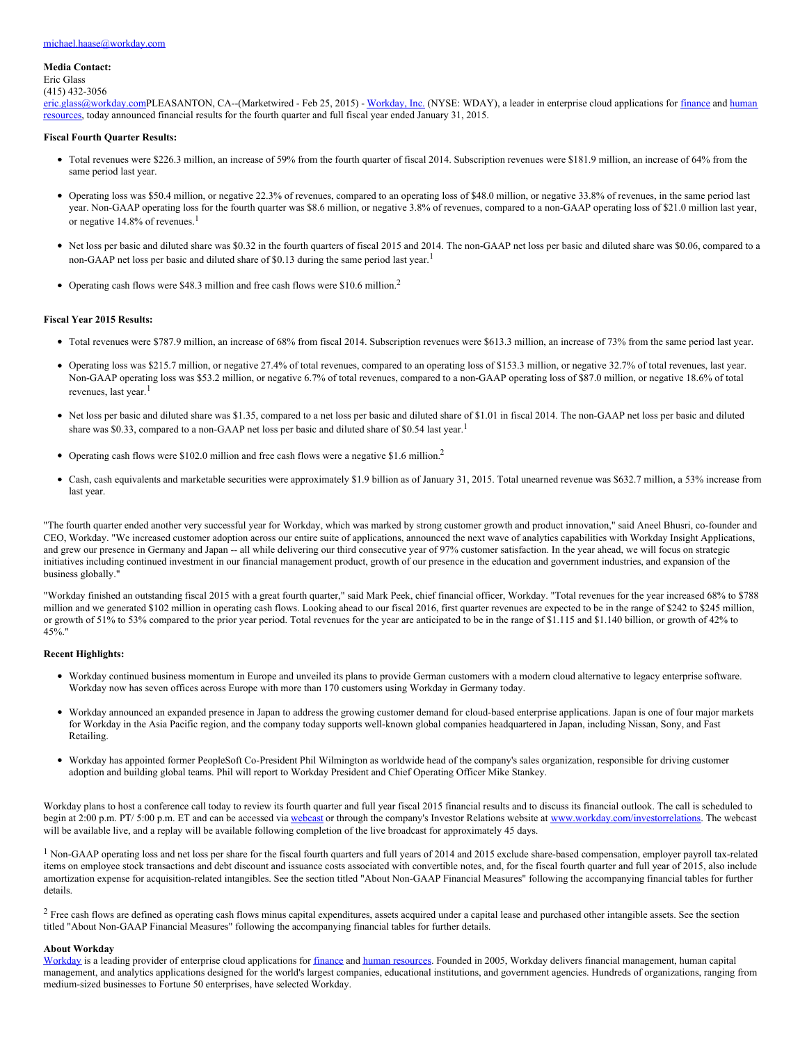### **Media Contact:** Eric Glass

## (415) 432-3056

[eric.glass@workday.comPLEASANTON,](http://www.workday.com/applications/human_capital_management.php) CA--(Marketwired - Feb 25, 2015) - [Workday,](http://www.workday.com/) Inc. (NYSE: WDAY), a leader in enterprise cloud applications for [finance](http://www.workday.com/applications/financial_management.php) and human resources, today announced financial results for the fourth quarter and full fiscal year ended January 31, 2015.

#### **Fiscal Fourth Quarter Results:**

- Total revenues were \$226.3 million, an increase of 59% from the fourth quarter of fiscal 2014. Subscription revenues were \$181.9 million, an increase of 64% from the same period last year.
- Operating loss was \$50.4 million, or negative 22.3% of revenues, compared to an operating loss of \$48.0 million, or negative 33.8% of revenues, in the same period last year. Non-GAAP operating loss for the fourth quarter was \$8.6 million, or negative 3.8% of revenues, compared to a non-GAAP operating loss of \$21.0 million last year, or negative 14.8% of revenues.<sup>1</sup>
- Net loss per basic and diluted share was \$0.32 in the fourth quarters of fiscal 2015 and 2014. The non-GAAP net loss per basic and diluted share was \$0.06, compared to a non-GAAP net loss per basic and diluted share of \$0.13 during the same period last year.<sup>1</sup>
- Operating cash flows were \$48.3 million and free cash flows were  $$10.6$  million.<sup>2</sup>

#### **Fiscal Year 2015 Results:**

- Total revenues were \$787.9 million, an increase of 68% from fiscal 2014. Subscription revenues were \$613.3 million, an increase of 73% from the same period last year.
- Operating loss was \$215.7 million, or negative 27.4% of total revenues, compared to an operating loss of \$153.3 million, or negative 32.7% of total revenues, last year. Non-GAAP operating loss was \$53.2 million, or negative 6.7% of total revenues, compared to a non-GAAP operating loss of \$87.0 million, or negative 18.6% of total revenues, last year.<sup>1</sup>
- Net loss per basic and diluted share was \$1.35, compared to a net loss per basic and diluted share of \$1.01 in fiscal 2014. The non-GAAP net loss per basic and diluted share was \$0.33, compared to a non-GAAP net loss per basic and diluted share of \$0.54 last year.<sup>1</sup>
- Operating cash flows were \$102.0 million and free cash flows were a negative \$1.6 million.<sup>2</sup>
- Cash, cash equivalents and marketable securities were approximately \$1.9 billion as of January 31, 2015. Total unearned revenue was \$632.7 million, a 53% increase from last year.

"The fourth quarter ended another very successful year for Workday, which was marked by strong customer growth and product innovation," said Aneel Bhusri, co-founder and CEO, Workday. "We increased customer adoption across our entire suite of applications, announced the next wave of analytics capabilities with Workday Insight Applications, and grew our presence in Germany and Japan -- all while delivering our third consecutive year of 97% customer satisfaction. In the year ahead, we will focus on strategic initiatives including continued investment in our financial management product, growth of our presence in the education and government industries, and expansion of the business globally."

"Workday finished an outstanding fiscal 2015 with a great fourth quarter," said Mark Peek, chief financial officer, Workday. "Total revenues for the year increased 68% to \$788 million and we generated \$102 million in operating cash flows. Looking ahead to our fiscal 2016, first quarter revenues are expected to be in the range of \$242 to \$245 million, or growth of 51% to 53% compared to the prior year period. Total revenues for the year are anticipated to be in the range of \$1.115 and \$1.140 billion, or growth of 42% to 45%."

### **Recent Highlights:**

- Workday continued business momentum in Europe and unveiled its plans to provide German customers with a modern cloud alternative to legacy enterprise software. Workday now has seven offices across Europe with more than 170 customers using Workday in Germany today.
- Workday announced an expanded presence in Japan to address the growing customer demand for cloud-based enterprise applications. Japan is one of four major markets for Workday in the Asia Pacific region, and the company today supports well-known global companies headquartered in Japan, including Nissan, Sony, and Fast Retailing.
- Workday has appointed former PeopleSoft Co-President Phil Wilmington as worldwide head of the company's sales organization, responsible for driving customer adoption and building global teams. Phil will report to Workday President and Chief Operating Officer Mike Stankey.

Workday plans to host a conference call today to review its fourth quarter and full year fiscal 2015 financial results and to discuss its financial outlook. The call is scheduled to begin at 2:00 p.m. PT/ 5:00 p.m. ET and can be accessed via [webcast](https://edge.media-server.com/m/p/qjnon7ej/lan/en) or through the company's Investor Relations website at [www.workday.com/investorrelations](http://www.workday.com/investorrelations). The webcast will be available live, and a replay will be available following completion of the live broadcast for approximately 45 days.

<sup>1</sup> Non-GAAP operating loss and net loss per share for the fiscal fourth quarters and full years of 2014 and 2015 exclude share-based compensation, employer payroll tax-related items on employee stock transactions and debt discount and issuance costs associated with convertible notes, and, for the fiscal fourth quarter and full year of 2015, also include amortization expense for acquisition-related intangibles. See the section titled "About Non-GAAP Financial Measures" following the accompanying financial tables for further details.

<sup>2</sup> Free cash flows are defined as operating cash flows minus capital expenditures, assets acquired under a capital lease and purchased other intangible assets. See the section titled "About Non-GAAP Financial Measures" following the accompanying financial tables for further details.

### **About Workday**

[Workday](http://www.workday.com/) is a leading provider of enterprise cloud applications for [finance](http://www.workday.com/applications/financial_management.php) and human [resources](http://www.workday.com/applications/human_capital_management.php). Founded in 2005, Workday delivers financial management, human capital management, and analytics applications designed for the world's largest companies, educational institutions, and government agencies. Hundreds of organizations, ranging from medium-sized businesses to Fortune 50 enterprises, have selected Workday.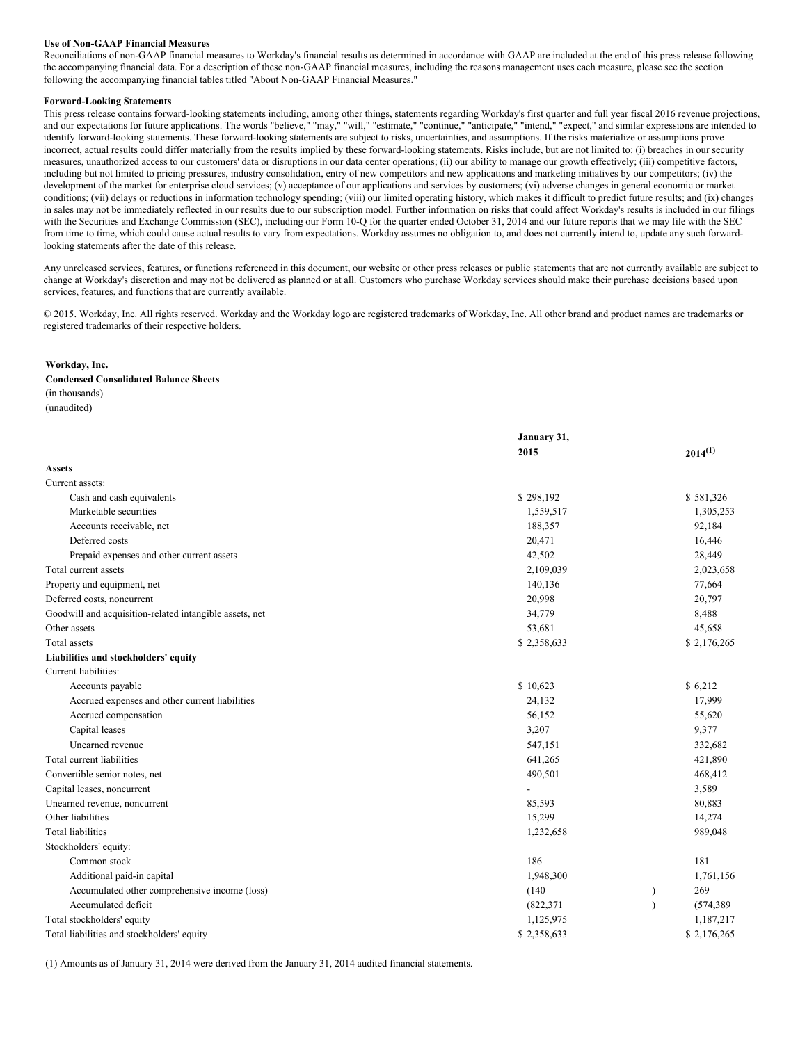### **Use of Non-GAAP Financial Measures**

Reconciliations of non-GAAP financial measures to Workday's financial results as determined in accordance with GAAP are included at the end of this press release following the accompanying financial data. For a description of these non-GAAP financial measures, including the reasons management uses each measure, please see the section following the accompanying financial tables titled "About Non-GAAP Financial Measures."

### **Forward-Looking Statements**

This press release contains forward-looking statements including, among other things, statements regarding Workday's first quarter and full year fiscal 2016 revenue projections, and our expectations for future applications. The words "believe," "may," "will," "estimate," "continue," "anticipate," "intend," "expect," and similar expressions are intended to identify forward-looking statements. These forward-looking statements are subject to risks, uncertainties, and assumptions. If the risks materialize or assumptions prove incorrect, actual results could differ materially from the results implied by these forward-looking statements. Risks include, but are not limited to: (i) breaches in our security measures, unauthorized access to our customers' data or disruptions in our data center operations; (ii) our ability to manage our growth effectively; (iii) competitive factors, including but not limited to pricing pressures, industry consolidation, entry of new competitors and new applications and marketing initiatives by our competitors; (iv) the development of the market for enterprise cloud services; (v) acceptance of our applications and services by customers; (vi) adverse changes in general economic or market conditions; (vii) delays or reductions in information technology spending; (viii) our limited operating history, which makes it difficult to predict future results; and (ix) changes in sales may not be immediately reflected in our results due to our subscription model. Further information on risks that could affect Workday's results is included in our filings with the Securities and Exchange Commission (SEC), including our Form 10-Q for the quarter ended October 31, 2014 and our future reports that we may file with the SEC from time to time, which could cause actual results to vary from expectations. Workday assumes no obligation to, and does not currently intend to, update any such forwardlooking statements after the date of this release.

Any unreleased services, features, or functions referenced in this document, our website or other press releases or public statements that are not currently available are subject to change at Workday's discretion and may not be delivered as planned or at all. Customers who purchase Workday services should make their purchase decisions based upon services, features, and functions that are currently available.

© 2015. Workday, Inc. All rights reserved. Workday and the Workday logo are registered trademarks of Workday, Inc. All other brand and product names are trademarks or registered trademarks of their respective holders.

#### **Workday, Inc.**

#### **Condensed Consolidated Balance Sheets**

(in thousands)

(unaudited)

|                                                         | January 31, |              |
|---------------------------------------------------------|-------------|--------------|
|                                                         | 2015        | $2014^{(1)}$ |
| <b>Assets</b>                                           |             |              |
| Current assets:                                         |             |              |
| Cash and cash equivalents                               | \$298,192   | \$581,326    |
| Marketable securities                                   | 1,559,517   | 1,305,253    |
| Accounts receivable, net                                | 188,357     | 92,184       |
| Deferred costs                                          | 20,471      | 16,446       |
| Prepaid expenses and other current assets               | 42,502      | 28,449       |
| Total current assets                                    | 2,109,039   | 2,023,658    |
| Property and equipment, net                             | 140,136     | 77,664       |
| Deferred costs, noncurrent                              | 20,998      | 20,797       |
| Goodwill and acquisition-related intangible assets, net | 34,779      | 8,488        |
| Other assets                                            | 53,681      | 45,658       |
| <b>Total</b> assets                                     | \$2,358,633 | \$2,176,265  |
| Liabilities and stockholders' equity                    |             |              |
| Current liabilities:                                    |             |              |
| Accounts payable                                        | \$10,623    | \$6,212      |
| Accrued expenses and other current liabilities          | 24,132      | 17,999       |
| Accrued compensation                                    | 56,152      | 55,620       |
| Capital leases                                          | 3,207       | 9,377        |
| Unearned revenue                                        | 547,151     | 332,682      |
| Total current liabilities                               | 641,265     | 421,890      |
| Convertible senior notes, net                           | 490,501     | 468,412      |
| Capital leases, noncurrent                              |             | 3,589        |
| Unearned revenue, noncurrent                            | 85,593      | 80,883       |
| Other liabilities                                       | 15,299      | 14,274       |
| <b>Total liabilities</b>                                | 1,232,658   | 989,048      |
| Stockholders' equity:                                   |             |              |
| Common stock                                            | 186         | 181          |
| Additional paid-in capital                              | 1,948,300   | 1,761,156    |
| Accumulated other comprehensive income (loss)           | (140)       | 269          |
| Accumulated deficit                                     | (822, 371)  | (574, 389)   |
| Total stockholders' equity                              | 1,125,975   | 1,187,217    |
| Total liabilities and stockholders' equity              | \$2,358,633 | \$2,176,265  |

(1) Amounts as of January 31, 2014 were derived from the January 31, 2014 audited financial statements.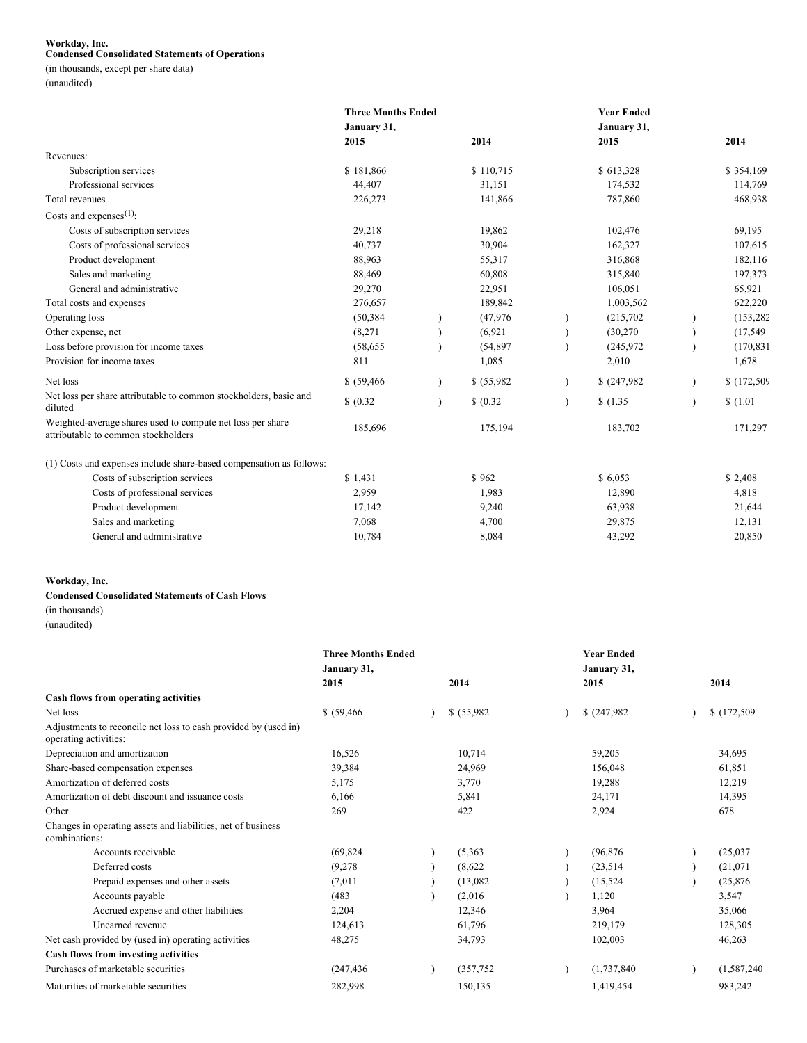#### **Workday, Inc. Condensed Consolidated Statements of Operations**

(in thousands, except per share data)

(unaudited)

|                                                                                                   | <b>Three Months Ended</b> |  |             |  | <b>Year Ended</b> |             |
|---------------------------------------------------------------------------------------------------|---------------------------|--|-------------|--|-------------------|-------------|
|                                                                                                   | January 31,               |  |             |  | January 31,       |             |
|                                                                                                   | 2015                      |  | 2014        |  | 2015              | 2014        |
| Revenues:                                                                                         |                           |  |             |  |                   |             |
| Subscription services                                                                             | \$181,866                 |  | \$110,715   |  | \$613,328         | \$354,169   |
| Professional services                                                                             | 44,407                    |  | 31,151      |  | 174,532           | 114,769     |
| Total revenues                                                                                    | 226,273                   |  | 141,866     |  | 787,860           | 468,938     |
| Costs and expenses $(1)$ :                                                                        |                           |  |             |  |                   |             |
| Costs of subscription services                                                                    | 29,218                    |  | 19,862      |  | 102,476           | 69,195      |
| Costs of professional services                                                                    | 40,737                    |  | 30,904      |  | 162,327           | 107,615     |
| Product development                                                                               | 88,963                    |  | 55,317      |  | 316,868           | 182,116     |
| Sales and marketing                                                                               | 88,469                    |  | 60,808      |  | 315,840           | 197,373     |
| General and administrative                                                                        | 29,270                    |  | 22,951      |  | 106,051           | 65,921      |
| Total costs and expenses                                                                          | 276,657                   |  | 189,842     |  | 1,003,562         | 622,220     |
| Operating loss                                                                                    | (50, 384)                 |  | (47, 976)   |  | (215,702)         | (153, 282)  |
| Other expense, net                                                                                | (8,271)                   |  | (6,921)     |  | (30,270)          | (17, 549)   |
| Loss before provision for income taxes                                                            | (58, 655)                 |  | (54, 897)   |  | (245, 972)        | (170, 831)  |
| Provision for income taxes                                                                        | 811                       |  | 1,085       |  | 2,010             | 1,678       |
| Net loss                                                                                          | \$ (59,466)               |  | \$ (55,982) |  | \$(247,982)       | \$(172,509) |
| Net loss per share attributable to common stockholders, basic and<br>diluted                      | \$ (0.32)                 |  | \$ (0.32)   |  | \$(1.35)          | \$(1.01)    |
| Weighted-average shares used to compute net loss per share<br>attributable to common stockholders | 185,696                   |  | 175,194     |  | 183,702           | 171,297     |
| (1) Costs and expenses include share-based compensation as follows:                               |                           |  |             |  |                   |             |
| Costs of subscription services                                                                    | \$1,431                   |  | \$962       |  | \$6,053           | \$2,408     |
| Costs of professional services                                                                    | 2,959                     |  | 1,983       |  | 12,890            | 4,818       |
| Product development                                                                               | 17,142                    |  | 9,240       |  | 63,938            | 21,644      |
| Sales and marketing                                                                               | 7,068                     |  | 4,700       |  | 29,875            | 12,131      |
| General and administrative                                                                        | 10,784                    |  | 8,084       |  | 43,292            | 20,850      |
|                                                                                                   |                           |  |             |  |                   |             |

## **Workday, Inc.**

## **Condensed Consolidated Statements of Cash Flows**

(in thousands)

|                                                                                          | <b>Three Months Ended</b> |             | <b>Year Ended</b> |             |
|------------------------------------------------------------------------------------------|---------------------------|-------------|-------------------|-------------|
|                                                                                          | January 31,               |             | January 31,       |             |
|                                                                                          | 2015                      | 2014        | 2015              | 2014        |
| Cash flows from operating activities                                                     |                           |             |                   |             |
| Net loss                                                                                 | \$ (59, 466)              | \$ (55,982) | \$(247,982)       | \$(172,509) |
| Adjustments to reconcile net loss to cash provided by (used in)<br>operating activities: |                           |             |                   |             |
| Depreciation and amortization                                                            | 16,526                    | 10,714      | 59,205            | 34,695      |
| Share-based compensation expenses                                                        | 39,384                    | 24,969      | 156,048           | 61,851      |
| Amortization of deferred costs                                                           | 5,175                     | 3,770       | 19,288            | 12,219      |
| Amortization of debt discount and issuance costs                                         | 6,166                     | 5,841       | 24,171            | 14,395      |
| Other                                                                                    | 269                       | 422         | 2,924             | 678         |
| Changes in operating assets and liabilities, net of business<br>combinations:            |                           |             |                   |             |
| Accounts receivable                                                                      | (69, 824)                 | (5,363)     | (96, 876)         | (25,037)    |
| Deferred costs                                                                           | (9,278)                   | (8,622)     | (23,514)          | (21,071)    |
| Prepaid expenses and other assets                                                        | (7,011)                   | (13,082)    | (15, 524)         | (25, 876)   |
| Accounts payable                                                                         | (483)                     | (2,016)     | 1,120             | 3,547       |
| Accrued expense and other liabilities                                                    | 2,204                     | 12,346      | 3,964             | 35,066      |
| Unearned revenue                                                                         | 124,613                   | 61,796      | 219,179           | 128,305     |
| Net cash provided by (used in) operating activities                                      | 48,275                    | 34,793      | 102,003           | 46,263      |
| Cash flows from investing activities                                                     |                           |             |                   |             |
| Purchases of marketable securities                                                       | (247, 436)                | (357, 752)  | (1,737,840)       | (1,587,240) |
| Maturities of marketable securities                                                      | 282,998                   | 150,135     | 1,419,454         | 983,242     |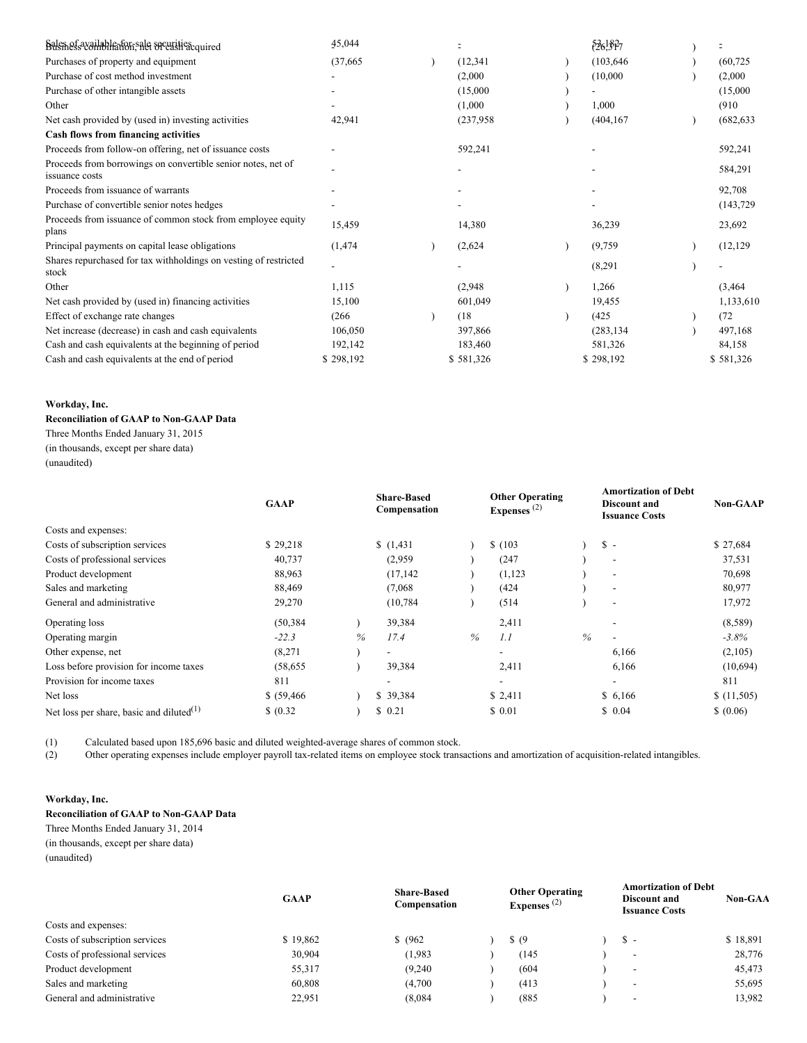| Balsmess available for sale securities courred                                 | 45,044    |            | 526,1327   |            |
|--------------------------------------------------------------------------------|-----------|------------|------------|------------|
| Purchases of property and equipment                                            | (37, 665) | (12, 341)  | (103, 646) | (60, 725)  |
| Purchase of cost method investment                                             |           | (2,000)    | (10,000)   | (2,000)    |
| Purchase of other intangible assets                                            |           | (15,000)   |            | (15,000)   |
| Other                                                                          |           | (1,000)    | 1,000      | (910)      |
| Net cash provided by (used in) investing activities                            | 42,941    | (237, 958) | (404, 167) | (682, 633) |
| Cash flows from financing activities                                           |           |            |            |            |
| Proceeds from follow-on offering, net of issuance costs                        |           | 592,241    |            | 592,241    |
| Proceeds from borrowings on convertible senior notes, net of<br>issuance costs |           |            |            | 584,291    |
| Proceeds from issuance of warrants                                             |           |            |            | 92,708     |
| Purchase of convertible senior notes hedges                                    |           |            |            | (143, 729) |
| Proceeds from issuance of common stock from employee equity<br>plans           | 15,459    | 14,380     | 36,239     | 23,692     |
| Principal payments on capital lease obligations                                | (1, 474)  | (2,624)    | (9,759)    | (12, 129)  |
| Shares repurchased for tax withholdings on vesting of restricted<br>stock      |           |            | (8,291)    |            |
| Other                                                                          | 1,115     | (2,948)    | 1,266      | (3, 464)   |
| Net cash provided by (used in) financing activities                            | 15,100    | 601,049    | 19,455     | 1,133,610  |
| Effect of exchange rate changes                                                | (266)     | (18)       | (425)      | (72)       |
| Net increase (decrease) in cash and cash equivalents                           | 106,050   | 397,866    | (283, 134) | 497,168    |
| Cash and cash equivalents at the beginning of period                           | 192,142   | 183,460    | 581,326    | 84,158     |
| Cash and cash equivalents at the end of period                                 | \$298,192 | \$581,326  | \$298,192  | \$581,326  |

### **Workday, Inc.**

### **Reconciliation of GAAP to Non-GAAP Data**

Three Months Ended January 31, 2015 (in thousands, except per share data)

(unaudited)

|                                             | <b>GAAP</b>  |      | <b>Share-Based</b><br>Compensation |      | <b>Other Operating</b><br>Expenses $(2)$ |      | <b>Amortization of Debt</b><br><b>Discount and</b><br><b>Issuance Costs</b> | <b>Non-GAAP</b> |
|---------------------------------------------|--------------|------|------------------------------------|------|------------------------------------------|------|-----------------------------------------------------------------------------|-----------------|
| Costs and expenses:                         |              |      |                                    |      |                                          |      |                                                                             |                 |
| Costs of subscription services              | \$29,218     |      | \$(1,431)                          |      | \$(103)                                  |      | $\mathbb{S}$ -                                                              | \$27,684        |
| Costs of professional services              | 40,737       |      | (2,959)                            |      | (247)                                    |      | $\overline{\phantom{a}}$                                                    | 37,531          |
| Product development                         | 88,963       |      | (17, 142)                          |      | (1,123)                                  |      | $\overline{\phantom{a}}$                                                    | 70,698          |
| Sales and marketing                         | 88,469       |      | (7,068)                            |      | (424)                                    |      | $\overline{\phantom{a}}$                                                    | 80,977          |
| General and administrative                  | 29,270       |      | (10, 784)                          |      | (514)                                    |      | $\overline{\phantom{a}}$                                                    | 17,972          |
| Operating loss                              | (50, 384)    |      | 39,384                             |      | 2,411                                    |      |                                                                             | (8,589)         |
| Operating margin                            | $-22.3$      | $\%$ | 17.4                               | $\%$ | 1.1                                      | $\%$ |                                                                             | $-3.8\%$        |
| Other expense, net                          | (8,271)      |      | $\overline{\phantom{a}}$           |      |                                          |      | 6,166                                                                       | (2,105)         |
| Loss before provision for income taxes      | (58, 655)    |      | 39,384                             |      | 2,411                                    |      | 6,166                                                                       | (10,694)        |
| Provision for income taxes                  | 811          |      | $\overline{\phantom{a}}$           |      | $\overline{\phantom{a}}$                 |      | $\overline{\phantom{a}}$                                                    | 811             |
| Net loss                                    | \$ (59, 466) |      | \$39,384                           |      | \$ 2,411                                 |      | \$6,166                                                                     | \$(11,505)      |
| Net loss per share, basic and diluted $(1)$ | \$ (0.32)    |      | \$0.21                             |      | \$ 0.01                                  |      | \$0.04                                                                      | \$ (0.06)       |
|                                             |              |      |                                    |      |                                          |      |                                                                             |                 |

(1) Calculated based upon 185,696 basic and diluted weighted-average shares of common stock.

 $(2)$ Other operating expenses include employer payroll tax-related items on employee stock transactions and amortization of acquisition-related intangibles.

## **Workday, Inc.**

# **Reconciliation of GAAP to Non-GAAP Data**

Three Months Ended January 31, 2014 (in thousands, except per share data)

|                                | <b>GAAP</b> | <b>Share-Based</b><br>Compensation | <b>Other Operating</b><br>Expenses $(2)$ | <b>Amortization of Debt</b><br>Discount and<br><b>Issuance Costs</b> | <b>Non-GAA</b> |  |
|--------------------------------|-------------|------------------------------------|------------------------------------------|----------------------------------------------------------------------|----------------|--|
| Costs and expenses:            |             |                                    |                                          |                                                                      |                |  |
| Costs of subscription services | \$19,862    | \$ (962)                           | \$(9)                                    | $S -$                                                                | \$18,891       |  |
| Costs of professional services | 30,904      | (1,983)                            | (145)                                    |                                                                      | 28,776         |  |
| Product development            | 55,317      | (9,240)                            | (604                                     |                                                                      | 45,473         |  |
| Sales and marketing            | 60,808      | (4,700)                            | (413                                     |                                                                      | 55,695         |  |
| General and administrative     | 22,951      | (8,084)                            | (885                                     |                                                                      | 13,982         |  |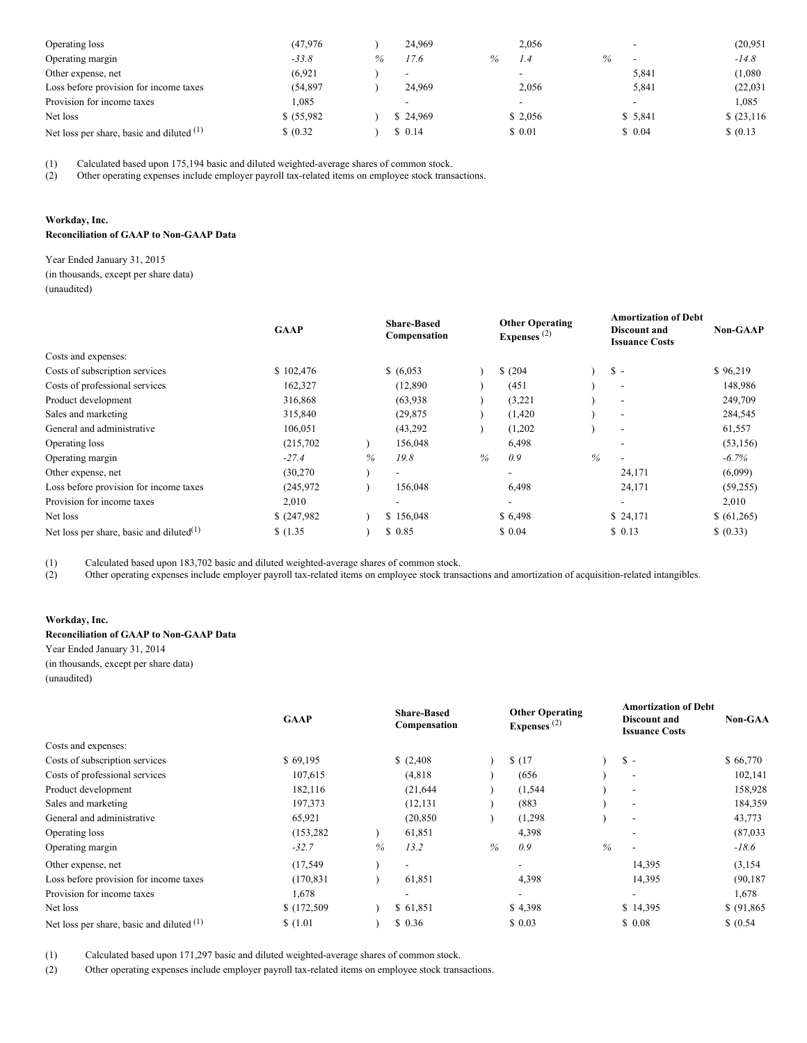| Operating loss                              | (47, 976)   |   | 24,969                   |      | 2,056   |   |          | (20, 951)  |
|---------------------------------------------|-------------|---|--------------------------|------|---------|---|----------|------------|
| Operating margin                            | $-33.8$     | % | 17.6                     | $\%$ | 1.4     | % |          | $-14.8$    |
| Other expense, net                          | (6,921)     |   | $\overline{\phantom{a}}$ |      | -       |   | 5,841    | (1,080)    |
| Loss before provision for income taxes      | (54, 897)   |   | 24,969                   |      | 2,056   |   | 5,841    | (22, 031)  |
| Provision for income taxes                  | 1.085       |   |                          |      |         |   |          | 1.085      |
| Net loss                                    | \$ (55,982) |   | \$24,969                 |      | \$2,056 |   | \$ 5,841 | \$(23,116) |
| Net loss per share, basic and diluted $(1)$ | \$ (0.32)   |   | \$0.14                   |      | \$0.01  |   | \$0.04   | \$ (0.13)  |

(1) Calculated based upon 175,194 basic and diluted weighted-average shares of common stock.

(2) Other operating expenses include employer payroll tax-related items on employee stock transactions.

# **Workday, Inc.**

### **Reconciliation of GAAP to Non-GAAP Data**

Year Ended January 31, 2015 (in thousands, except per share data) (unaudited)

|                                             | <b>GAAP</b> |      | <b>Share-Based</b><br>Compensation |      | <b>Other Operating</b><br>Expenses $(2)$ |      | <b>Amortization of Debt</b><br>Discount and<br><b>Issuance Costs</b> | Non-GAAP    |
|---------------------------------------------|-------------|------|------------------------------------|------|------------------------------------------|------|----------------------------------------------------------------------|-------------|
| Costs and expenses:                         |             |      |                                    |      |                                          |      |                                                                      |             |
| Costs of subscription services              | \$102,476   |      | \$ (6,053)                         |      | \$(204)                                  |      | $S -$                                                                | \$96,219    |
| Costs of professional services              | 162,327     |      | (12,890)                           |      | (451)                                    |      | $\overline{\phantom{a}}$                                             | 148,986     |
| Product development                         | 316,868     |      | (63,938)                           |      | (3,221)                                  |      | $\overline{\phantom{a}}$                                             | 249,709     |
| Sales and marketing                         | 315,840     |      | (29, 875)                          |      | (1,420)                                  |      | $\overline{\phantom{a}}$                                             | 284,545     |
| General and administrative                  | 106,051     |      | (43, 292)                          |      | (1,202)                                  |      | $\overline{\phantom{a}}$                                             | 61,557      |
| Operating loss                              | (215,702)   |      | 156,048                            |      | 6,498                                    |      | $\overline{\phantom{a}}$                                             | (53, 156)   |
| Operating margin                            | $-27.4$     | $\%$ | 19.8                               | $\%$ | 0.9                                      | $\%$ | $\overline{\phantom{a}}$                                             | $-6.7\%$    |
| Other expense, net                          | (30, 270)   |      | $\overline{\phantom{a}}$           |      | $\overline{\phantom{0}}$                 |      | 24,171                                                               | (6,099)     |
| Loss before provision for income taxes      | (245, 972)  |      | 156,048                            |      | 6,498                                    |      | 24,171                                                               | (59,255)    |
| Provision for income taxes                  | 2,010       |      | $\overline{\phantom{a}}$           |      | -                                        |      |                                                                      | 2,010       |
| Net loss                                    | \$(247,982) |      | S.<br>156,048                      |      | \$6,498                                  |      | \$24,171                                                             | \$ (61,265) |
| Net loss per share, basic and diluted $(1)$ | \$(1.35)    |      | \$0.85                             |      | \$0.04                                   |      | \$0.13                                                               | (0.33)      |

(1) Calculated based upon 183,702 basic and diluted weighted-average shares of common stock.

(2) Other operating expenses include employer payroll tax-related items on employee stock transactions and amortization of acquisition-related intangibles.

## **Workday, Inc.**

## **Reconciliation of GAAP to Non-GAAP Data**

Year Ended January 31, 2014 (in thousands, except per share data)

(unaudited)

|                                             | <b>GAAP</b> |      | <b>Share-Based</b><br>Compensation |      | <b>Other Operating</b><br>Expenses $(2)$ |      | <b>Amortization of Debt</b><br><b>Discount and</b><br><b>Issuance Costs</b> | Non-GAA     |
|---------------------------------------------|-------------|------|------------------------------------|------|------------------------------------------|------|-----------------------------------------------------------------------------|-------------|
| Costs and expenses:                         |             |      |                                    |      |                                          |      |                                                                             |             |
| Costs of subscription services              | \$69,195    |      | \$(2,408)                          |      | \$(17)                                   |      | $\mathbb{S}$ -                                                              | \$66,770    |
| Costs of professional services              | 107,615     |      | (4,818)                            |      | (656)                                    |      |                                                                             | 102,141     |
| Product development                         | 182,116     |      | (21, 644)                          |      | (1, 544)                                 |      | $\overline{\phantom{a}}$                                                    | 158,928     |
| Sales and marketing                         | 197,373     |      | (12, 131)                          |      | (883)                                    |      |                                                                             | 184,359     |
| General and administrative                  | 65,921      |      | (20, 850)                          |      | (1,298)                                  |      | $\overline{\phantom{a}}$                                                    | 43,773      |
| Operating loss                              | (153, 282)  |      | 61,851                             |      | 4,398                                    |      |                                                                             | (87,033)    |
| Operating margin                            | $-32.7$     | $\%$ | 13.2                               | $\%$ | 0.9                                      | $\%$ | $\overline{\phantom{a}}$                                                    | $-18.6$     |
| Other expense, net                          | (17, 549)   |      | $\overline{\phantom{a}}$           |      | $\overline{\phantom{a}}$                 |      | 14,395                                                                      | (3, 154)    |
| Loss before provision for income taxes      | (170, 831)  |      | 61,851                             |      | 4,398                                    |      | 14,395                                                                      | (90, 187)   |
| Provision for income taxes                  | 1,678       |      | $\overline{\phantom{a}}$           |      | $\overline{\phantom{a}}$                 |      |                                                                             | 1,678       |
| Net loss                                    | \$(172,509) |      | \$61,851                           |      | \$4,398                                  |      | \$14,395                                                                    | \$ (91,865) |
| Net loss per share, basic and diluted $(1)$ | \$(1.01)    |      | \$0.36                             |      | \$0.03                                   |      | \$0.08                                                                      | \$ (0.54)   |

(1) Calculated based upon 171,297 basic and diluted weighted-average shares of common stock.

(2) Other operating expenses include employer payroll tax-related items on employee stock transactions.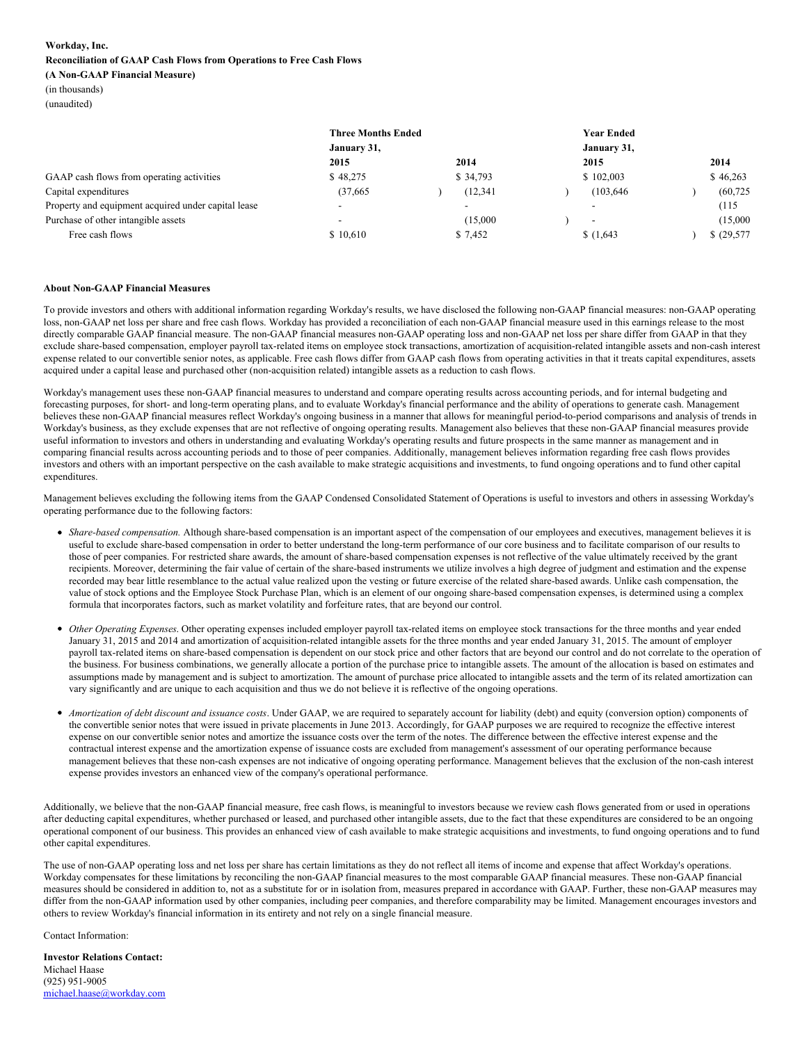### **Workday, Inc. Reconciliation of GAAP Cash Flows from Operations to Free Cash Flows (A Non-GAAP Financial Measure)**

(in thousands)

(unaudited)

|                                                     | <b>Three Months Ended</b> |                          | Year Ended               |            |  |  |  |
|-----------------------------------------------------|---------------------------|--------------------------|--------------------------|------------|--|--|--|
|                                                     | January 31,               |                          | January 31,              |            |  |  |  |
|                                                     | 2015                      | 2014                     | 2015                     | 2014       |  |  |  |
| GAAP cash flows from operating activities           | \$48,275                  | \$34,793                 | \$102,003                | \$46,263   |  |  |  |
| Capital expenditures                                | (37,665)                  | (12, 341)                | (103, 646)               | (60, 725)  |  |  |  |
| Property and equipment acquired under capital lease | $\overline{\phantom{0}}$  | $\overline{\phantom{0}}$ | $\overline{\phantom{0}}$ | (115       |  |  |  |
| Purchase of other intangible assets                 |                           | (15,000)                 |                          | (15,000)   |  |  |  |
| Free cash flows                                     | \$10,610                  | \$7,452                  | \$(1,643)                | \$(29,577) |  |  |  |

### **About Non-GAAP Financial Measures**

To provide investors and others with additional information regarding Workday's results, we have disclosed the following non-GAAP financial measures: non-GAAP operating loss, non-GAAP net loss per share and free cash flows. Workday has provided a reconciliation of each non-GAAP financial measure used in this earnings release to the most directly comparable GAAP financial measure. The non-GAAP financial measures non-GAAP operating loss and non-GAAP net loss per share differ from GAAP in that they exclude share-based compensation, employer payroll tax-related items on employee stock transactions, amortization of acquisition-related intangible assets and non-cash interest expense related to our convertible senior notes, as applicable. Free cash flows differ from GAAP cash flows from operating activities in that it treats capital expenditures, assets acquired under a capital lease and purchased other (non-acquisition related) intangible assets as a reduction to cash flows.

Workday's management uses these non-GAAP financial measures to understand and compare operating results across accounting periods, and for internal budgeting and forecasting purposes, for short- and long-term operating plans, and to evaluate Workday's financial performance and the ability of operations to generate cash. Management believes these non-GAAP financial measures reflect Workday's ongoing business in a manner that allows for meaningful period-to-period comparisons and analysis of trends in Workday's business, as they exclude expenses that are not reflective of ongoing operating results. Management also believes that these non-GAAP financial measures provide useful information to investors and others in understanding and evaluating Workday's operating results and future prospects in the same manner as management and in comparing financial results across accounting periods and to those of peer companies. Additionally, management believes information regarding free cash flows provides investors and others with an important perspective on the cash available to make strategic acquisitions and investments, to fund ongoing operations and to fund other capital expenditures.

Management believes excluding the following items from the GAAP Condensed Consolidated Statement of Operations is useful to investors and others in assessing Workday's operating performance due to the following factors:

- *Share-based compensation.* Although share-based compensation is an important aspect of the compensation of our employees and executives, management believes it is useful to exclude share-based compensation in order to better understand the long-term performance of our core business and to facilitate comparison of our results to those of peer companies. For restricted share awards, the amount of share-based compensation expenses is not reflective of the value ultimately received by the grant recipients. Moreover, determining the fair value of certain of the share-based instruments we utilize involves a high degree of judgment and estimation and the expense recorded may bear little resemblance to the actual value realized upon the vesting or future exercise of the related share-based awards. Unlike cash compensation, the value of stock options and the Employee Stock Purchase Plan, which is an element of our ongoing share-based compensation expenses, is determined using a complex formula that incorporates factors, such as market volatility and forfeiture rates, that are beyond our control.
- *Other Operating Expenses*. Other operating expenses included employer payroll tax-related items on employee stock transactions for the three months and year ended January 31, 2015 and 2014 and amortization of acquisition-related intangible assets for the three months and year ended January 31, 2015. The amount of employer payroll tax-related items on share-based compensation is dependent on our stock price and other factors that are beyond our control and do not correlate to the operation of the business. For business combinations, we generally allocate a portion of the purchase price to intangible assets. The amount of the allocation is based on estimates and assumptions made by management and is subject to amortization. The amount of purchase price allocated to intangible assets and the term of its related amortization can vary significantly and are unique to each acquisition and thus we do not believe it is reflective of the ongoing operations.
- *Amortization of debt discount and issuance costs*. Under GAAP, we are required to separately account for liability (debt) and equity (conversion option) components of the convertible senior notes that were issued in private placements in June 2013. Accordingly, for GAAP purposes we are required to recognize the effective interest expense on our convertible senior notes and amortize the issuance costs over the term of the notes. The difference between the effective interest expense and the contractual interest expense and the amortization expense of issuance costs are excluded from management's assessment of our operating performance because management believes that these non-cash expenses are not indicative of ongoing operating performance. Management believes that the exclusion of the non-cash interest expense provides investors an enhanced view of the company's operational performance.

Additionally, we believe that the non-GAAP financial measure, free cash flows, is meaningful to investors because we review cash flows generated from or used in operations after deducting capital expenditures, whether purchased or leased, and purchased other intangible assets, due to the fact that these expenditures are considered to be an ongoing operational component of our business. This provides an enhanced view of cash available to make strategic acquisitions and investments, to fund ongoing operations and to fund other capital expenditures.

The use of non-GAAP operating loss and net loss per share has certain limitations as they do not reflect all items of income and expense that affect Workday's operations. Workday compensates for these limitations by reconciling the non-GAAP financial measures to the most comparable GAAP financial measures. These non-GAAP financial measures should be considered in addition to, not as a substitute for or in isolation from, measures prepared in accordance with GAAP. Further, these non-GAAP measures may differ from the non-GAAP information used by other companies, including peer companies, and therefore comparability may be limited. Management encourages investors and others to review Workday's financial information in its entirety and not rely on a single financial measure.

Contact Information:

**Investor Relations Contact:** Michael Haase (925) 951-9005 [michael.haase@workday.com](mailto:Michael.Haase@Workday.com)